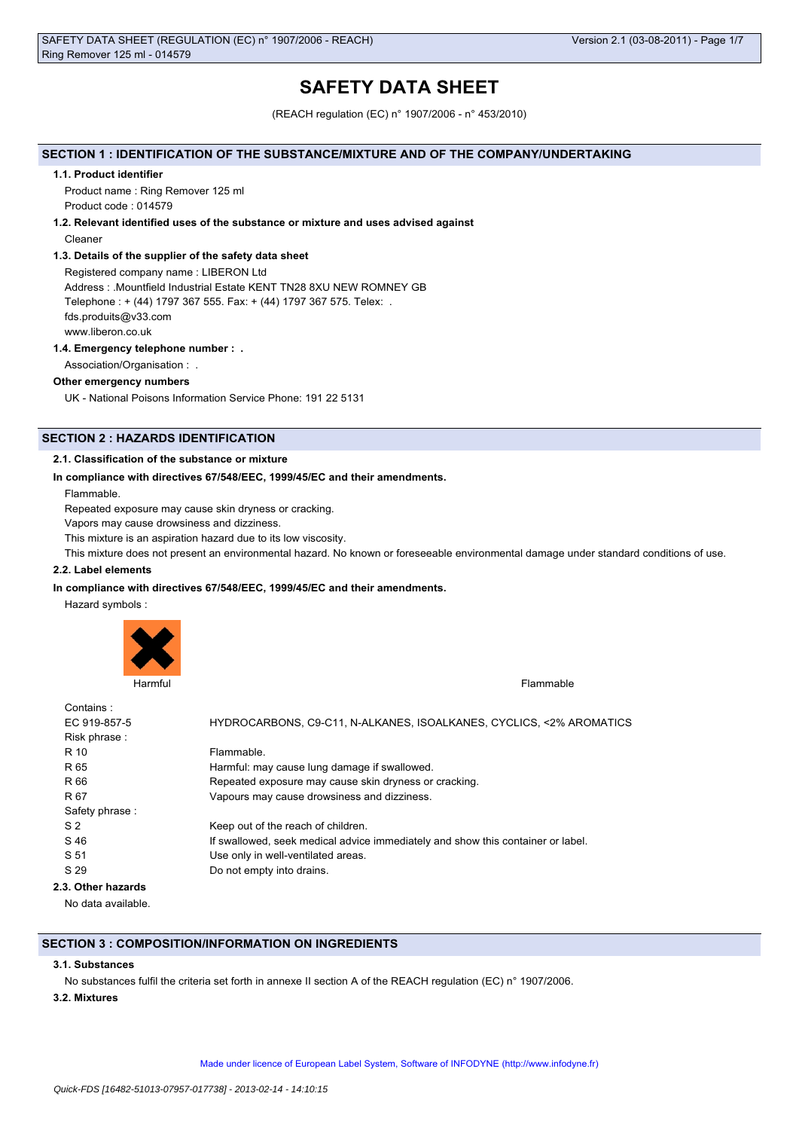# **SAFETY DATA SHEET**

(REACH regulation (EC) n° 1907/2006 - n° 453/2010)

# **SECTION 1 : IDENTIFICATION OF THE SUBSTANCE/MIXTURE AND OF THE COMPANY/UNDERTAKING**

#### **1.1. Product identifier**

Product name : Ring Remover 125 ml Product code : 014579

### **1.2. Relevant identified uses of the substance or mixture and uses advised against**

Cleaner

### **1.3. Details of the supplier of the safety data sheet**

Registered company name : LIBERON Ltd Address : .Mountfield Industrial Estate KENT TN28 8XU NEW ROMNEY GB Telephone : + (44) 1797 367 555. Fax: + (44) 1797 367 575. Telex: . fds.produits@v33.com www.liberon.co.uk

### **1.4. Emergency telephone number : .**

Association/Organisation : .

### **Other emergency numbers**

UK - National Poisons Information Service Phone: 191 22 5131

# **SECTION 2 : HAZARDS IDENTIFICATION**

### **2.1. Classification of the substance or mixture**

### **In compliance with directives 67/548/EEC, 1999/45/EC and their amendments.**

Flammable.

Repeated exposure may cause skin dryness or cracking.

Vapors may cause drowsiness and dizziness.

This mixture is an aspiration hazard due to its low viscosity.

This mixture does not present an environmental hazard. No known or foreseeable environmental damage under standard conditions of use.

# **2.2. Label elements**

### **In compliance with directives 67/548/EEC, 1999/45/EC and their amendments.**

Hazard symbols :



| Contains:          |                                                                                 |
|--------------------|---------------------------------------------------------------------------------|
| EC 919-857-5       | HYDROCARBONS, C9-C11, N-ALKANES, ISOALKANES, CYCLICS, <2% AROMATICS             |
| Risk phrase:       |                                                                                 |
| R 10               | Flammable.                                                                      |
| R 65               | Harmful: may cause lung damage if swallowed.                                    |
| R 66               | Repeated exposure may cause skin dryness or cracking.                           |
| R 67               | Vapours may cause drowsiness and dizziness.                                     |
| Safety phrase:     |                                                                                 |
| S <sub>2</sub>     | Keep out of the reach of children.                                              |
| S 46               | If swallowed, seek medical advice immediately and show this container or label. |
| S 51               | Use only in well-ventilated areas.                                              |
| S 29               | Do not empty into drains.                                                       |
| 2.3. Other hazards |                                                                                 |

No data available.

# **SECTION 3 : COMPOSITION/INFORMATION ON INGREDIENTS**

### **3.1. Substances**

No substances fulfil the criteria set forth in annexe II section A of the REACH regulation (EC) n° 1907/2006.

### **3.2. Mixtures**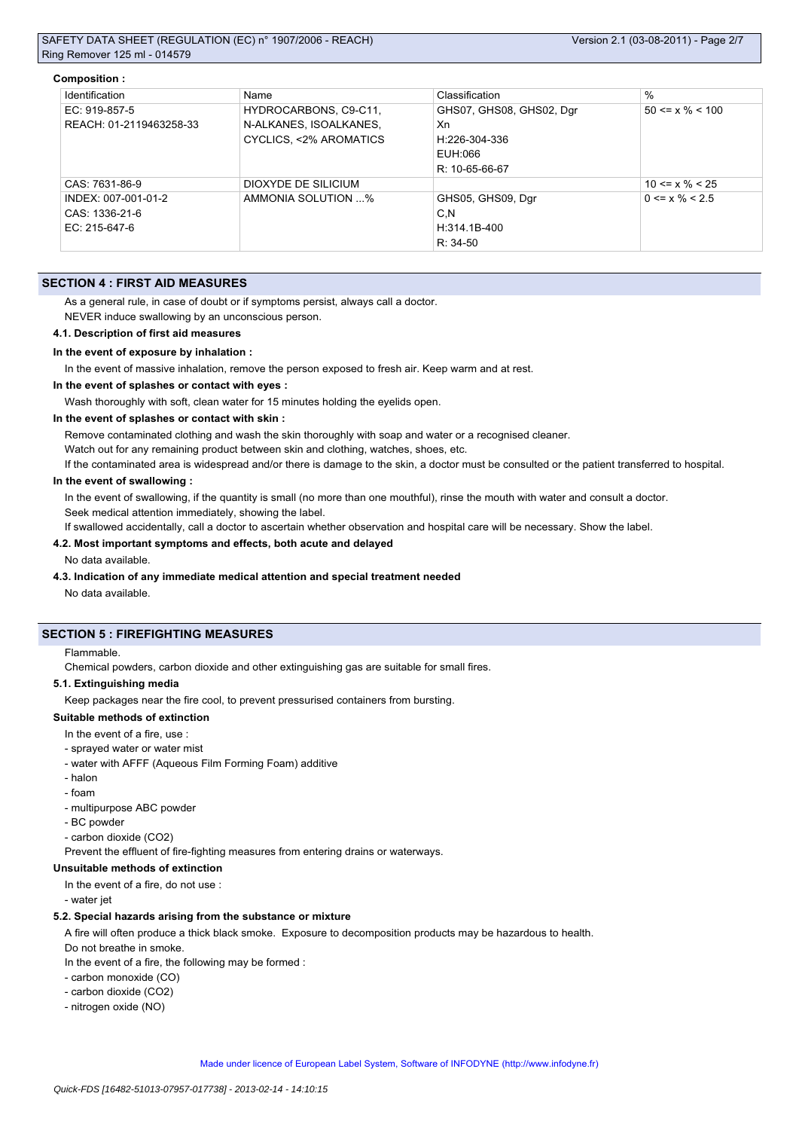#### **Composition :**

| Identification          | Name                   | Classification           | $\%$                  |
|-------------------------|------------------------|--------------------------|-----------------------|
| EC: 919-857-5           | HYDROCARBONS, C9-C11,  | GHS07, GHS08, GHS02, Dgr | $50 \le x \% \le 100$ |
| REACH: 01-2119463258-33 | N-ALKANES, ISOALKANES, | Xn                       |                       |
|                         | CYCLICS, <2% AROMATICS | H:226-304-336            |                       |
|                         |                        | EUH:066                  |                       |
|                         |                        | R: 10-65-66-67           |                       |
| CAS: 7631-86-9          | DIOXYDE DE SILICIUM    |                          | $10 \le x \% \le 25$  |
| INDEX: 007-001-01-2     | AMMONIA SOLUTION %     | GHS05, GHS09, Dgr        | $0 \le x \% \le 2.5$  |
| CAS: 1336-21-6          |                        | C,N                      |                       |
| EC: 215-647-6           |                        | H:314.1B-400             |                       |
|                         |                        | $R: 34-50$               |                       |

### **SECTION 4 : FIRST AID MEASURES**

As a general rule, in case of doubt or if symptoms persist, always call a doctor.

NEVER induce swallowing by an unconscious person.

#### **4.1. Description of first aid measures**

#### **In the event of exposure by inhalation :**

In the event of massive inhalation, remove the person exposed to fresh air. Keep warm and at rest.

### **In the event of splashes or contact with eyes :**

Wash thoroughly with soft, clean water for 15 minutes holding the eyelids open.

### **In the event of splashes or contact with skin :**

Remove contaminated clothing and wash the skin thoroughly with soap and water or a recognised cleaner.

Watch out for any remaining product between skin and clothing, watches, shoes, etc.

If the contaminated area is widespread and/or there is damage to the skin, a doctor must be consulted or the patient transferred to hospital.

### **In the event of swallowing :**

In the event of swallowing, if the quantity is small (no more than one mouthful), rinse the mouth with water and consult a doctor. Seek medical attention immediately, showing the label.

If swallowed accidentally, call a doctor to ascertain whether observation and hospital care will be necessary. Show the label.

# **4.2. Most important symptoms and effects, both acute and delayed**

#### No data available.

# **4.3. Indication of any immediate medical attention and special treatment needed**

No data available.

# **SECTION 5 : FIREFIGHTING MEASURES**

Flammable.

Chemical powders, carbon dioxide and other extinguishing gas are suitable for small fires.

#### **5.1. Extinguishing media**

Keep packages near the fire cool, to prevent pressurised containers from bursting.

#### **Suitable methods of extinction**

- In the event of a fire, use :
- sprayed water or water mist
- water with AFFF (Aqueous Film Forming Foam) additive
- halon
- foam
- multipurpose ABC powder
- BC powder
- carbon dioxide (CO2)

Prevent the effluent of fire-fighting measures from entering drains or waterways.

### **Unsuitable methods of extinction**

In the event of a fire, do not use :

- water jet

### **5.2. Special hazards arising from the substance or mixture**

A fire will often produce a thick black smoke. Exposure to decomposition products may be hazardous to health.

Do not breathe in smoke.

In the event of a fire, the following may be formed :

- carbon monoxide (CO)
- carbon dioxide (CO2)
- nitrogen oxide (NO)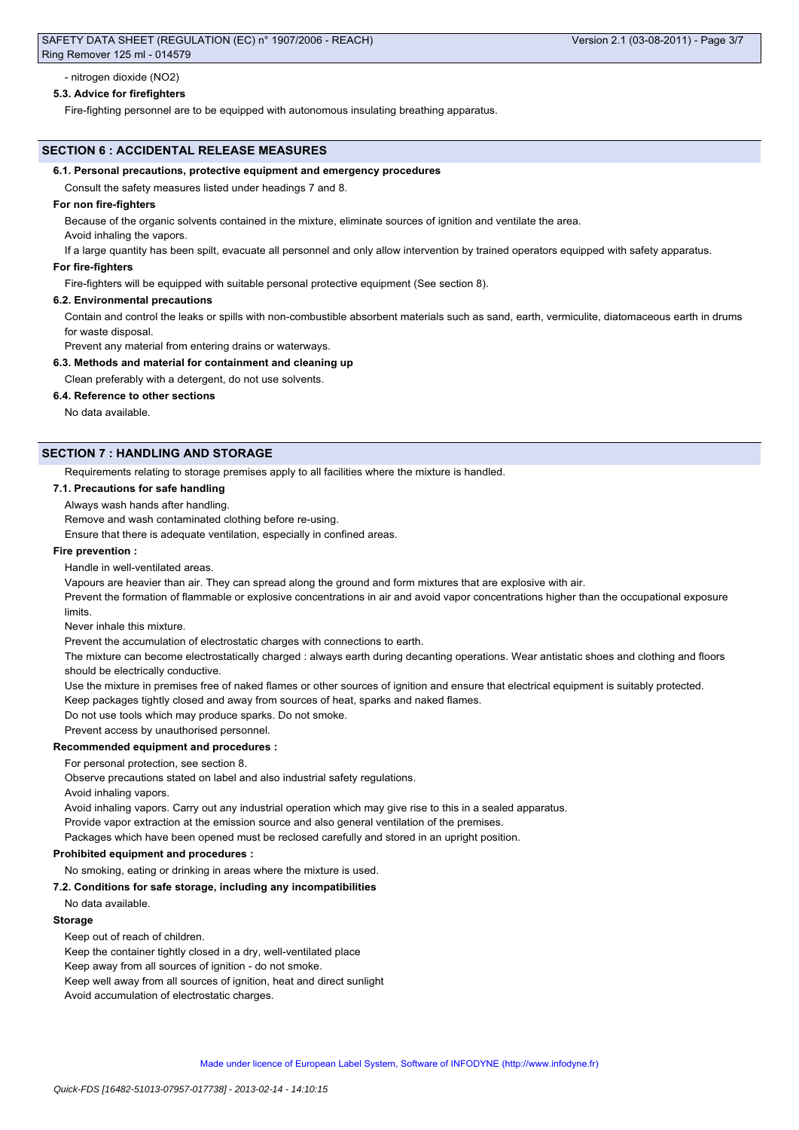# - nitrogen dioxide (NO2)

# **5.3. Advice for firefighters**

Fire-fighting personnel are to be equipped with autonomous insulating breathing apparatus.

# **SECTION 6 : ACCIDENTAL RELEASE MEASURES**

# **6.1. Personal precautions, protective equipment and emergency procedures**

Consult the safety measures listed under headings 7 and 8.

# **For non fire-fighters**

Because of the organic solvents contained in the mixture, eliminate sources of ignition and ventilate the area.

Avoid inhaling the vapors.

If a large quantity has been spilt, evacuate all personnel and only allow intervention by trained operators equipped with safety apparatus.

# **For fire-fighters**

Fire-fighters will be equipped with suitable personal protective equipment (See section 8).

# **6.2. Environmental precautions**

Contain and control the leaks or spills with non-combustible absorbent materials such as sand, earth, vermiculite, diatomaceous earth in drums for waste disposal.

Prevent any material from entering drains or waterways.

# **6.3. Methods and material for containment and cleaning up**

Clean preferably with a detergent, do not use solvents.

**6.4. Reference to other sections**

No data available.

# **SECTION 7 : HANDLING AND STORAGE**

Requirements relating to storage premises apply to all facilities where the mixture is handled.

# **7.1. Precautions for safe handling**

Always wash hands after handling.

Remove and wash contaminated clothing before re-using.

Ensure that there is adequate ventilation, especially in confined areas.

# **Fire prevention :**

Handle in well-ventilated areas.

Vapours are heavier than air. They can spread along the ground and form mixtures that are explosive with air.

Prevent the formation of flammable or explosive concentrations in air and avoid vapor concentrations higher than the occupational exposure limits.

Never inhale this mixture.

Prevent the accumulation of electrostatic charges with connections to earth.

The mixture can become electrostatically charged : always earth during decanting operations. Wear antistatic shoes and clothing and floors should be electrically conductive.

Use the mixture in premises free of naked flames or other sources of ignition and ensure that electrical equipment is suitably protected.

Keep packages tightly closed and away from sources of heat, sparks and naked flames.

Do not use tools which may produce sparks. Do not smoke.

# Prevent access by unauthorised personnel.

**Recommended equipment and procedures :**

For personal protection, see section 8.

Observe precautions stated on label and also industrial safety regulations.

Avoid inhaling vapors.

Avoid inhaling vapors. Carry out any industrial operation which may give rise to this in a sealed apparatus.

Provide vapor extraction at the emission source and also general ventilation of the premises.

Packages which have been opened must be reclosed carefully and stored in an upright position.

### **Prohibited equipment and procedures :**

# No smoking, eating or drinking in areas where the mixture is used.

**7.2. Conditions for safe storage, including any incompatibilities**

No data available.

## **Storage**

Keep out of reach of children.

Keep the container tightly closed in a dry, well-ventilated place

Keep away from all sources of ignition - do not smoke.

Keep well away from all sources of ignition, heat and direct sunlight

Avoid accumulation of electrostatic charges.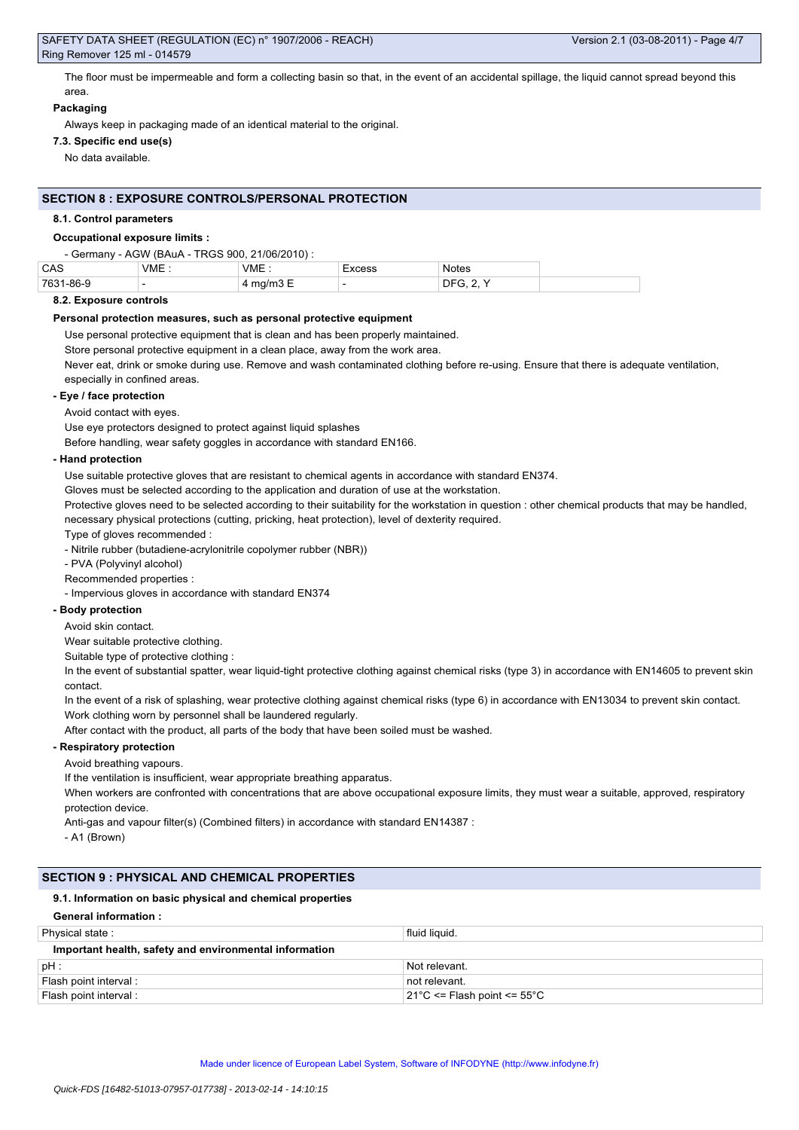The floor must be impermeable and form a collecting basin so that, in the event of an accidental spillage, the liquid cannot spread beyond this area.

### **Packaging**

Always keep in packaging made of an identical material to the original.

# **7.3. Specific end use(s)**

No data available.

### **SECTION 8 : EXPOSURE CONTROLS/PERSONAL PROTECTION**

### **8.1. Control parameters**

#### **Occupational exposure limits :**

| - Germany - AGW (BAuA - TRGS 900, 21/06/2010) : |       |                                |        |                  |
|-------------------------------------------------|-------|--------------------------------|--------|------------------|
| CAS                                             | VME : | VME:                           | Excess | <b>Notes</b>     |
| 7631-86-9                                       |       | $4 \text{ mg/m}$ $3 \text{ E}$ |        | <b>DFG, 2, Y</b> |

### **8.2. Exposure controls**

#### **Personal protection measures, such as personal protective equipment**

Use personal protective equipment that is clean and has been properly maintained.

Store personal protective equipment in a clean place, away from the work area.

Never eat, drink or smoke during use. Remove and wash contaminated clothing before re-using. Ensure that there is adequate ventilation, especially in confined areas.

### **- Eye / face protection**

Avoid contact with eyes.

Use eye protectors designed to protect against liquid splashes

Before handling, wear safety goggles in accordance with standard EN166.

#### **- Hand protection**

Use suitable protective gloves that are resistant to chemical agents in accordance with standard EN374.

Gloves must be selected according to the application and duration of use at the workstation.

Protective gloves need to be selected according to their suitability for the workstation in question : other chemical products that may be handled, necessary physical protections (cutting, pricking, heat protection), level of dexterity required.

Type of gloves recommended :

- Nitrile rubber (butadiene-acrylonitrile copolymer rubber (NBR))

- PVA (Polyvinyl alcohol)

Recommended properties :

- Impervious gloves in accordance with standard EN374

# **- Body protection**

Avoid skin contact.

Wear suitable protective clothing.

Suitable type of protective clothing :

In the event of substantial spatter, wear liquid-tight protective clothing against chemical risks (type 3) in accordance with EN14605 to prevent skin contact.

In the event of a risk of splashing, wear protective clothing against chemical risks (type 6) in accordance with EN13034 to prevent skin contact.

Work clothing worn by personnel shall be laundered regularly.

# After contact with the product, all parts of the body that have been soiled must be washed.

# **- Respiratory protection**

Avoid breathing vapours.

If the ventilation is insufficient, wear appropriate breathing apparatus.

When workers are confronted with concentrations that are above occupational exposure limits, they must wear a suitable, approved, respiratory protection device.

Anti-gas and vapour filter(s) (Combined filters) in accordance with standard EN14387 :

- A1 (Brown)

# **SECTION 9 : PHYSICAL AND CHEMICAL PROPERTIES**

# **9.1. Information on basic physical and chemical properties**

| <b>General information:</b>                            |                                                  |  |  |  |
|--------------------------------------------------------|--------------------------------------------------|--|--|--|
| Physical state:                                        | fluid liguid.                                    |  |  |  |
| Important health, safety and environmental information |                                                  |  |  |  |
| $pH$ :                                                 | Not relevant.                                    |  |  |  |
| Flash point interval :                                 | not relevant.                                    |  |  |  |
| Flash point interval :                                 | $21^{\circ}$ C <= Flash point <= 55 $^{\circ}$ C |  |  |  |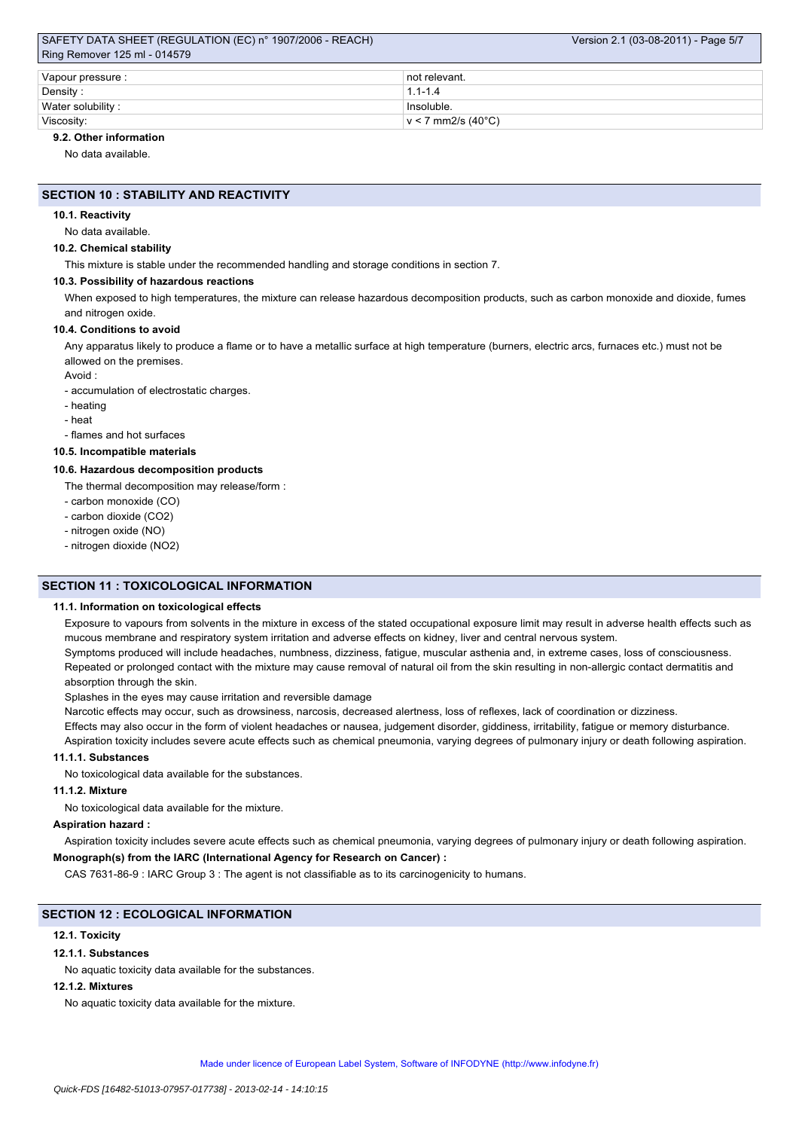## SAFETY DATA SHEET (REGULATION (EC) n° 1907/2006 - REACH) Ring Remover 125 ml - 014579

| Vapour pressure : | ∣ not relevant.          |  |  |  |
|-------------------|--------------------------|--|--|--|
| Density:          | $1.1 - 1.4$              |  |  |  |
| Water solubility: | Insoluble.               |  |  |  |
| Viscosity:        | $\rm v < 7$ mm2/s (40°C) |  |  |  |

# **9.2. Other information**

No data available.

### **SECTION 10 : STABILITY AND REACTIVITY**

#### **10.1. Reactivity**

No data available.

### **10.2. Chemical stability**

This mixture is stable under the recommended handling and storage conditions in section 7.

#### **10.3. Possibility of hazardous reactions**

When exposed to high temperatures, the mixture can release hazardous decomposition products, such as carbon monoxide and dioxide, fumes and nitrogen oxide.

### **10.4. Conditions to avoid**

Any apparatus likely to produce a flame or to have a metallic surface at high temperature (burners, electric arcs, furnaces etc.) must not be allowed on the premises.

Avoid :

- accumulation of electrostatic charges.

- heating

- heat

- flames and hot surfaces

# **10.5. Incompatible materials**

### **10.6. Hazardous decomposition products**

The thermal decomposition may release/form :

- carbon monoxide (CO)
- carbon dioxide (CO2)
- nitrogen oxide (NO)
- nitrogen dioxide (NO2)

# **SECTION 11 : TOXICOLOGICAL INFORMATION**

### **11.1. Information on toxicological effects**

Exposure to vapours from solvents in the mixture in excess of the stated occupational exposure limit may result in adverse health effects such as mucous membrane and respiratory system irritation and adverse effects on kidney, liver and central nervous system.

Symptoms produced will include headaches, numbness, dizziness, fatigue, muscular asthenia and, in extreme cases, loss of consciousness. Repeated or prolonged contact with the mixture may cause removal of natural oil from the skin resulting in non-allergic contact dermatitis and absorption through the skin.

Splashes in the eyes may cause irritation and reversible damage

Narcotic effects may occur, such as drowsiness, narcosis, decreased alertness, loss of reflexes, lack of coordination or dizziness.

Effects may also occur in the form of violent headaches or nausea, judgement disorder, giddiness, irritability, fatigue or memory disturbance. Aspiration toxicity includes severe acute effects such as chemical pneumonia, varying degrees of pulmonary injury or death following aspiration.

# **11.1.1. Substances**

No toxicological data available for the substances.

### **11.1.2. Mixture**

No toxicological data available for the mixture.

#### **Aspiration hazard :**

Aspiration toxicity includes severe acute effects such as chemical pneumonia, varying degrees of pulmonary injury or death following aspiration.

# **Monograph(s) from the IARC (International Agency for Research on Cancer) :**

CAS 7631-86-9 : IARC Group 3 : The agent is not classifiable as to its carcinogenicity to humans.

### **SECTION 12 : ECOLOGICAL INFORMATION**

### **12.1. Toxicity**

### **12.1.1. Substances**

No aquatic toxicity data available for the substances.

#### **12.1.2. Mixtures**

No aquatic toxicity data available for the mixture.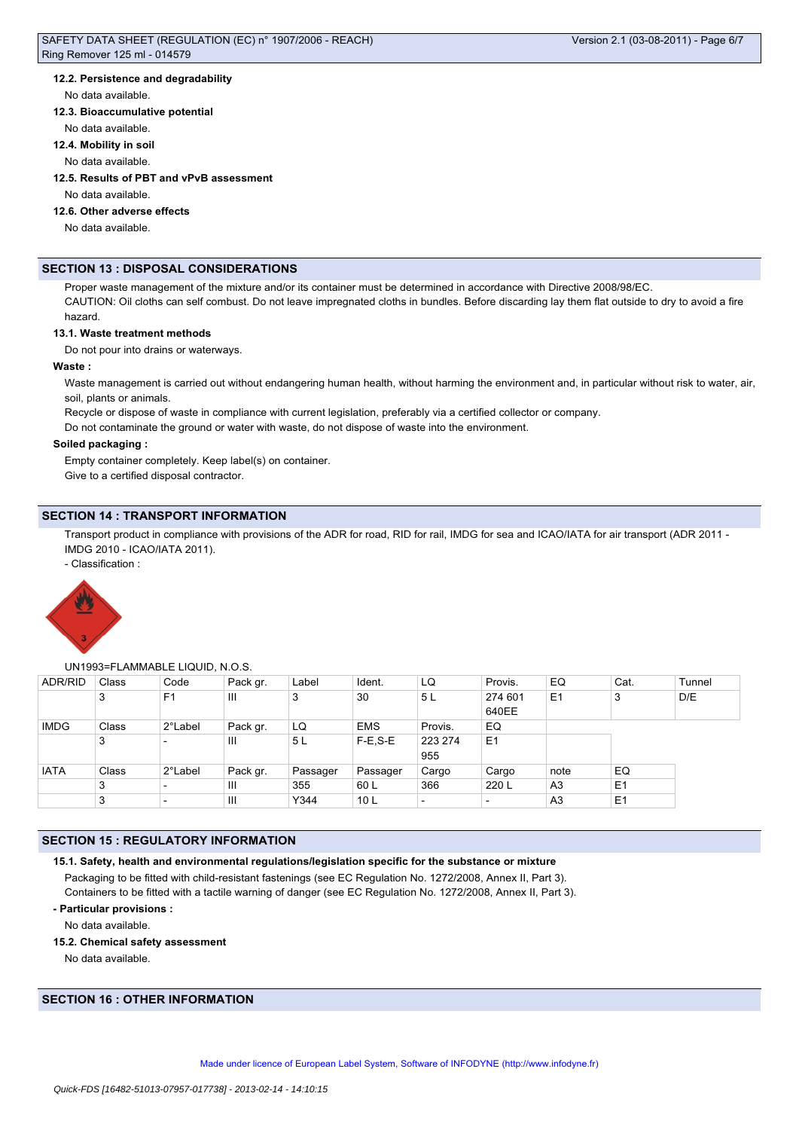# SAFETY DATA SHEET (REGULATION (EC) n° 1907/2006 - REACH) Ring Remover 125 ml - 014579

### **12.2. Persistence and degradability**

#### No data available.

### **12.3. Bioaccumulative potential**

No data available.

#### **12.4. Mobility in soil**

No data available.

# **12.5. Results of PBT and vPvB assessment**

No data available.

# **12.6. Other adverse effects**

No data available.

### **SECTION 13 : DISPOSAL CONSIDERATIONS**

Proper waste management of the mixture and/or its container must be determined in accordance with Directive 2008/98/EC. CAUTION: Oil cloths can self combust. Do not leave impregnated cloths in bundles. Before discarding lay them flat outside to dry to avoid a fire hazard.

## **13.1. Waste treatment methods**

Do not pour into drains or waterways.

#### **Waste :**

Waste management is carried out without endangering human health, without harming the environment and, in particular without risk to water, air, soil, plants or animals.

Recycle or dispose of waste in compliance with current legislation, preferably via a certified collector or company.

Do not contaminate the ground or water with waste, do not dispose of waste into the environment.

### **Soiled packaging :**

Empty container completely. Keep label(s) on container. Give to a certified disposal contractor.

## **SECTION 14 : TRANSPORT INFORMATION**

Transport product in compliance with provisions of the ADR for road, RID for rail, IMDG for sea and ICAO/IATA for air transport (ADR 2011 -IMDG 2010 - ICAO/IATA 2011).

- Classification :



#### UN1993=FLAMMABLE LIQUID, N.O.S.

| <b>ADR/RID</b> | Class | Code                     | Pack gr. | Label          | Ident.          | LQ                       | Provis.                  | EQ             | Cat.           | Tunnel |
|----------------|-------|--------------------------|----------|----------------|-----------------|--------------------------|--------------------------|----------------|----------------|--------|
|                | 3     | F <sub>1</sub>           | Ш        | 3              | 30              | 5 <sub>L</sub>           | 274 601<br>640EE         | E <sub>1</sub> | 3              | D/E    |
| <b>IMDG</b>    | Class | 2°Label                  | Pack gr. | LQ             | <b>EMS</b>      | Provis.                  | EQ                       |                |                |        |
|                | 3     | $\overline{\phantom{0}}$ | Ш        | 5 <sub>L</sub> | $F-E$ , $S-E$   | 223 274<br>955           | E <sub>1</sub>           |                |                |        |
| <b>IATA</b>    | Class | 2°Label                  | Pack gr. | Passager       | ⊩Passager       | Cargo                    | Cargo                    | note           | EQ             |        |
|                | 3     | $\overline{\phantom{a}}$ | Ш        | 355            | 60 L            | 366                      | 220 L                    | A <sub>3</sub> | E <sub>1</sub> |        |
|                | 3     | $\overline{\phantom{a}}$ | Ш        | Y344           | 10 <sub>L</sub> | $\overline{\phantom{0}}$ | $\overline{\phantom{0}}$ | A <sub>3</sub> | E <sub>1</sub> |        |

## **SECTION 15 : REGULATORY INFORMATION**

```
15.1. Safety, health and environmental regulations/legislation specific for the substance or mixture
```
Packaging to be fitted with child-resistant fastenings (see EC Regulation No. 1272/2008, Annex II, Part 3). Containers to be fitted with a tactile warning of danger (see EC Regulation No. 1272/2008, Annex II, Part 3).

# **- Particular provisions :**

No data available.

### **15.2. Chemical safety assessment**

No data available.

# **SECTION 16 : OTHER INFORMATION**